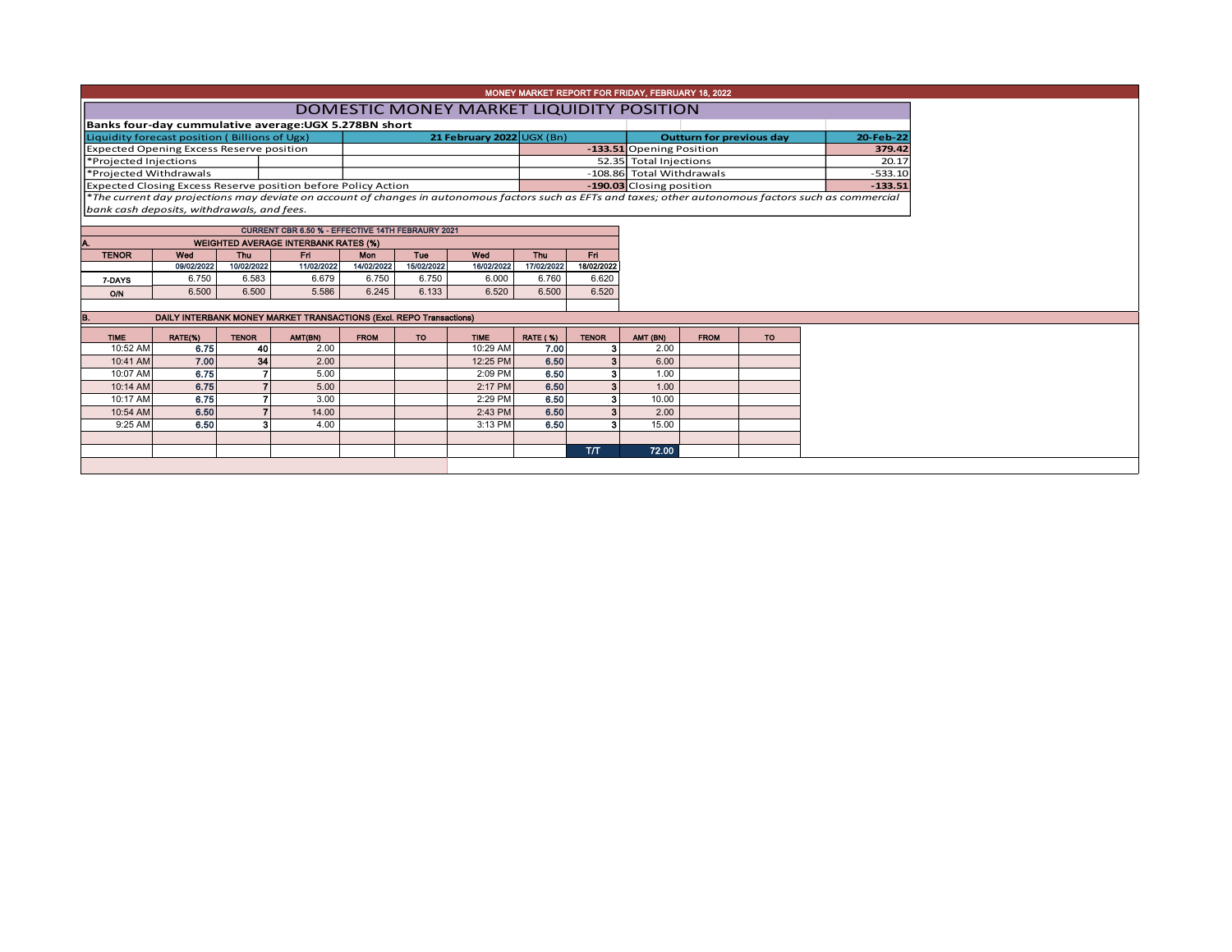|                        |                                                       |              |                                                                     |                                 |            |             |                 | MONEY MARKET REPORT FOR FRIDAY, FEBRUARY 18, 2022 |                           |             |           |                                                                                                                                                          |
|------------------------|-------------------------------------------------------|--------------|---------------------------------------------------------------------|---------------------------------|------------|-------------|-----------------|---------------------------------------------------|---------------------------|-------------|-----------|----------------------------------------------------------------------------------------------------------------------------------------------------------|
|                        |                                                       |              | DOMESTIC MONEY MARKET LIQUIDITY POSITION                            |                                 |            |             |                 |                                                   |                           |             |           |                                                                                                                                                          |
|                        | Banks four-day cummulative average: UGX 5.278BN short |              |                                                                     |                                 |            |             |                 |                                                   |                           |             |           |                                                                                                                                                          |
|                        | Liquidity forecast position (Billions of Ugx)         |              |                                                                     | <b>Outturn for previous day</b> |            | 20-Feb-22   |                 |                                                   |                           |             |           |                                                                                                                                                          |
|                        | <b>Expected Opening Excess Reserve position</b>       |              |                                                                     |                                 |            |             |                 |                                                   | -133.51 Opening Position  |             |           | 379.42                                                                                                                                                   |
| *Projected Injections  |                                                       |              |                                                                     |                                 |            |             |                 |                                                   | 52.35 Total Injections    |             |           | 20.17                                                                                                                                                    |
| *Projected Withdrawals |                                                       |              |                                                                     |                                 |            |             |                 |                                                   | -108.86 Total Withdrawals |             |           | $-533.10$                                                                                                                                                |
|                        |                                                       |              | Expected Closing Excess Reserve position before Policy Action       |                                 |            |             |                 |                                                   | -190.03 Closing position  |             |           | $-133.51$                                                                                                                                                |
|                        |                                                       |              |                                                                     |                                 |            |             |                 |                                                   |                           |             |           | *The current day projections may deviate on account of changes in autonomous factors such as EFTs and taxes; other autonomous factors such as commercial |
|                        | bank cash deposits, withdrawals, and fees.            |              |                                                                     |                                 |            |             |                 |                                                   |                           |             |           |                                                                                                                                                          |
|                        |                                                       |              | CURRENT CBR 6.50 % - EFFECTIVE 14TH FEBRAURY 2021                   |                                 |            |             |                 |                                                   |                           |             |           |                                                                                                                                                          |
|                        |                                                       |              | <b>WEIGHTED AVERAGE INTERBANK RATES (%)</b>                         |                                 |            |             |                 |                                                   |                           |             |           |                                                                                                                                                          |
| <b>TENOR</b>           | Wed                                                   | <b>Thu</b>   | Fri.                                                                | <b>Mon</b>                      | Tue        | Wed         | Thu             | Fri.                                              |                           |             |           |                                                                                                                                                          |
|                        | 09/02/2022                                            | 10/02/2022   | 11/02/2022                                                          | 14/02/2022                      | 15/02/2022 | 16/02/2022  | 17/02/2022      | 18/02/2022                                        |                           |             |           |                                                                                                                                                          |
| 7-DAYS                 | 6.750                                                 | 6.583        | 6.679                                                               | 6.750                           | 6.750      | 6.000       | 6.760           | 6.620                                             |                           |             |           |                                                                                                                                                          |
| O/N                    | 6.500                                                 | 6.500        | 5.586                                                               | 6.245                           | 6.133      | 6.520       | 6.500           | 6.520                                             |                           |             |           |                                                                                                                                                          |
|                        |                                                       |              |                                                                     |                                 |            |             |                 |                                                   |                           |             |           |                                                                                                                                                          |
|                        |                                                       |              | DAILY INTERBANK MONEY MARKET TRANSACTIONS (Excl. REPO Transactions) |                                 |            |             |                 |                                                   |                           |             |           |                                                                                                                                                          |
| <b>TIME</b>            | RATE(%)                                               | <b>TENOR</b> | AMT(BN)                                                             | <b>FROM</b>                     | <b>TO</b>  | <b>TIME</b> | <b>RATE (%)</b> | <b>TENOR</b>                                      | AMT (BN)                  | <b>FROM</b> | <b>TO</b> |                                                                                                                                                          |
| 10:52 AM               | 6.75                                                  | 40           | 2.00                                                                |                                 |            | 10:29 AM    | 7.00            | 3                                                 | 2.00                      |             |           |                                                                                                                                                          |
| 10:41 AM               | 7.00                                                  | 34           | 2.00                                                                |                                 |            | 12:25 PM    | 6.50            |                                                   | 6.00                      |             |           |                                                                                                                                                          |
| 10:07 AM               | 6.75                                                  |              | 5.00                                                                |                                 |            | 2:09 PM     | 6.50            | 3                                                 | 1.00                      |             |           |                                                                                                                                                          |
| 10:14 AM               | 6.75                                                  |              | 5.00                                                                |                                 |            | 2:17 PM     | 6.50            | 3                                                 | 1.00                      |             |           |                                                                                                                                                          |
| 10:17 AM               | 6.75                                                  |              | 3.00                                                                |                                 |            | 2:29 PM     | 6.50            | 3                                                 | 10.00                     |             |           |                                                                                                                                                          |
| 10:54 AM               | 6.50                                                  |              | 14.00                                                               |                                 |            | $2:43$ PM   | 6.50            | 3                                                 | 2.00                      |             |           |                                                                                                                                                          |
| 9:25 AM                | 6.50                                                  |              | 4.00                                                                |                                 |            | 3:13 PM     | 6.50            |                                                   | 15.00                     |             |           |                                                                                                                                                          |
|                        |                                                       |              |                                                                     |                                 |            |             |                 |                                                   |                           |             |           |                                                                                                                                                          |
|                        |                                                       |              |                                                                     |                                 |            |             |                 | T/T                                               | 72.00                     |             |           |                                                                                                                                                          |
|                        |                                                       |              |                                                                     |                                 |            |             |                 |                                                   |                           |             |           |                                                                                                                                                          |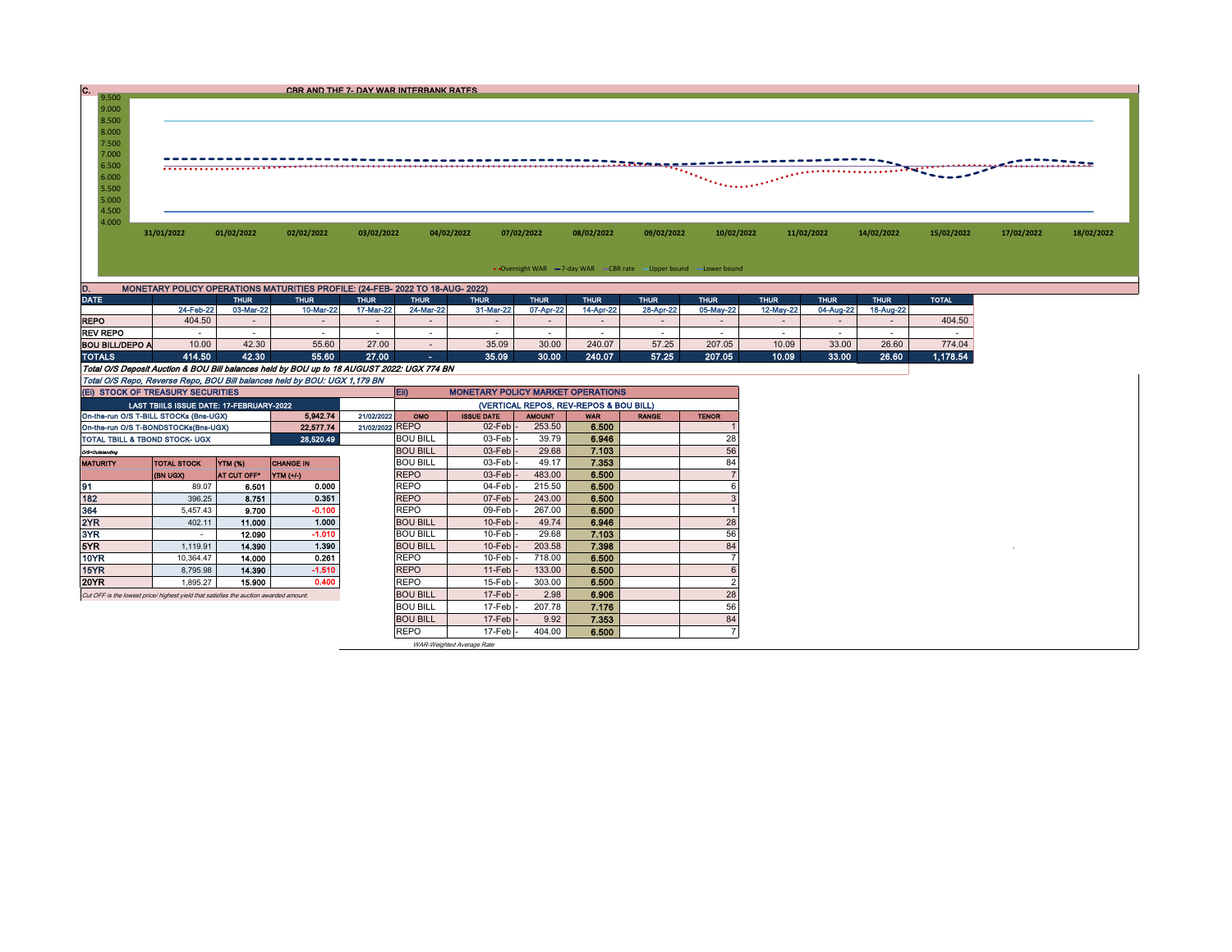| C. |       |            |            |            | CBR AND THE 7- DAY WAR INTERBANK RATES |            |            |            |                          |                    |            |            |               |            |            |
|----|-------|------------|------------|------------|----------------------------------------|------------|------------|------------|--------------------------|--------------------|------------|------------|---------------|------------|------------|
|    | 9.500 |            |            |            |                                        |            |            |            |                          |                    |            |            |               |            |            |
|    | 9.000 |            |            |            |                                        |            |            |            |                          |                    |            |            |               |            |            |
|    | 8.500 |            |            |            |                                        |            |            |            |                          |                    |            |            |               |            |            |
|    | 8.000 |            |            |            |                                        |            |            |            |                          |                    |            |            |               |            |            |
|    | 7.500 |            |            |            |                                        |            |            |            |                          |                    |            |            |               |            |            |
|    | 7.000 |            |            |            |                                        |            |            |            |                          |                    |            |            |               |            |            |
|    | 6.500 |            |            |            |                                        |            |            |            | $\overline{\phantom{a}}$ |                    |            |            | $\frac{1}{2}$ |            |            |
|    | 6.000 |            |            |            |                                        |            |            |            |                          | a in Provincia e P |            |            |               |            |            |
|    | 5.500 |            |            |            |                                        |            |            |            |                          |                    |            |            |               |            |            |
|    | 5.000 |            |            |            |                                        |            |            |            |                          |                    |            |            |               |            |            |
|    | 4.500 |            |            |            |                                        |            |            |            |                          |                    |            |            |               |            |            |
|    | 4.000 |            |            |            |                                        |            |            |            |                          |                    |            |            |               |            |            |
|    |       | 31/01/2022 | 01/02/2022 | 02/02/2022 | 03/02/2022                             | 04/02/2022 | 07/02/2022 | 08/02/2022 | 09/02/2022               | 10/02/2022         | 11/02/2022 | 14/02/2022 | 15/02/2022    | 17/02/2022 | 18/02/2022 |
|    |       |            |            |            |                                        |            |            |            |                          |                    |            |            |               |            |            |

• Overnight WAR  $\overline{\phantom{a}}$  -7-day WAR  $\overline{\phantom{a}}$  CBR rate  $\overline{\phantom{a}}$  – Upper bound  $\overline{\phantom{a}}$  Lower bound

| D.                                                                                         | MONETARY POLICY OPERATIONS MATURITIES PROFILE: (24-FEB- 2022 TO 18-AUG- 2022) |                          |             |             |             |             |             |             |             |             |             |             |             |              |  |
|--------------------------------------------------------------------------------------------|-------------------------------------------------------------------------------|--------------------------|-------------|-------------|-------------|-------------|-------------|-------------|-------------|-------------|-------------|-------------|-------------|--------------|--|
| <b>DATE</b>                                                                                |                                                                               | <b>THUR</b>              | <b>THUR</b> | <b>THUR</b> | <b>THUR</b> | <b>THUR</b> | <b>THUR</b> | <b>THUR</b> | <b>THUR</b> | <b>THUR</b> | <b>THUR</b> | <b>THUR</b> | <b>THUR</b> | <b>TOTAL</b> |  |
|                                                                                            | 24-Feb-22                                                                     | 03-Mar-22                | 10-Mar-22   | 17-Mar-22   | 24-Mar-22   | 31-Mar-22   | 07-Apr-22   | 14-Apr-22   | 28-Apr-22   | 05-May-22   | 12-May-22   | 04-Aug-22   | 18-Aug-22   |              |  |
| <b>REPO</b>                                                                                | 404.50                                                                        | $\overline{\phantom{a}}$ | $\sim$      |             |             |             |             |             |             |             |             |             |             | 404.50       |  |
| <b>REV REPO</b>                                                                            |                                                                               |                          |             |             |             |             |             |             |             |             |             |             |             |              |  |
| <b>BOU BILL/DEPO A</b>                                                                     | 10.00                                                                         | 42.30                    | 55.60       | 27.00       |             | 35.09       | 30.00       | 240.07      | 57.25       | 207.05      | 10.09       | 33.00       | 26.60       | 774.04       |  |
| <b>TOTALS</b>                                                                              | 414.50                                                                        | 42.30                    | 55.60       | 27.00       | - -         | 35.09       | 30.00       | 240.07      | 57.25       | 207.05      | 10.09       | 33.00       | 26.60       | 1,178.54     |  |
| Total O/S Deposit Auction & BOU Bill balances held by BOU up to 18 AUGUST 2022: UGX 774 BN |                                                                               |                          |             |             |             |             |             |             |             |             |             |             |             |              |  |
| Total O/S Repo, Reverse Repo, BOU Bill balances held by BOU: UGX 1,179 BN                  |                                                                               |                          |             |             |             |             |             |             |             |             |             |             |             |              |  |

| (VERTICAL REPOS, REV-REPOS & BOU BILL)<br>LAST TBIILS ISSUE DATE: 17-FEBRUARY-2022<br>5.942.74<br>On-the-run O/S T-BILL STOCKs (Bns-UGX)<br>21/02/2022<br>OMO<br><b>AMOUNT</b><br><b>ISSUE DATE</b><br><b>WAR</b><br><b>RANGE</b><br><b>TENOR</b><br>6.500<br>$02$ -Feb $-$<br>253.50<br>21/02/2022 REPO<br>22,577.74<br>On-the-run O/S T-BONDSTOCKs(Bns-UGX)<br>28<br><b>BOU BILL</b><br>39.79<br>$03$ -Feb $-$<br>6.946<br>28,520.49<br>TOTAL TBILL & TBOND STOCK- UGX<br>56<br>29.68<br>7.103<br><b>BOU BILL</b><br>$03$ -Feb $-$<br>O/S=Outstanding<br>84<br>49.17<br><b>BOU BILL</b><br>$03$ -Feb $\vert$ -<br>7.353<br><b>CHANGE IN</b><br><b>TOTAL STOCK</b><br>YTM (%)<br><b>MATURITY</b><br><b>REPO</b><br>$03$ -Feb $\vert$ -<br>483.00<br>6.500<br>(BN UGX)<br><b>YTM (+/-)</b><br>AT CUT OFF*<br>91<br><b>REPO</b><br>215.50<br>6.500<br>0.000<br>04-Feb<br>6.501<br>89.07<br>0.351<br>182<br>6.500<br><b>REPO</b><br>07-Feb<br>243.00<br>8.751<br>396.25<br>$-0.100$<br><b>REPO</b><br>267.00<br>364<br>09-Feb<br>6.500<br>9.700<br>5.457.43<br>2YR<br>1.000<br>6.946<br>28<br><b>BOU BILL</b><br>11.000<br>$10$ -Feb $-$<br>49.74<br>402.11<br>3YR<br>56<br>$-1.010$<br>29.68<br><b>BOU BILL</b><br>$10$ -Feb $-$<br>7.103<br>12.090<br>5YR.<br>1.390<br>84<br>7.398<br>$10$ -Feb $\vert$ -<br>14.390<br><b>BOU BILL</b><br>203.58<br>1,119.91<br>10YR<br>0.261<br><b>REPO</b><br>$10$ -Feb $-$<br>6.500<br>718.00<br>14.000<br>10,364.47<br>$-1.510$<br>15YR<br><b>REPO</b><br>6.500<br>$11$ -Feb $\vert$ -<br>133.00<br>14.390<br>8,795.98<br>20YR<br>0.400<br>6.500<br>r<br><b>REPO</b><br>$15$ -Feb $\vert$ -<br>303.00<br>15.900<br>1.895.27<br>28<br><b>BOU BILL</b><br>2.98<br>$17$ -Feb $\vert$ -<br>6.906<br>Cut OFF is the lowest price/highest vield that satisfies the auction awarded amount.<br>56<br>207.78<br>7.176<br><b>BOU BILL</b><br>$17-Feb$<br>84<br>9.92<br><b>BOU BILL</b><br>$17$ -Feb $\vert$ -<br>7.353<br>6.500<br><b>REPO</b><br>404.00<br>$17$ -Feb $-$ | (EI) STOCK OF TREASURY SECURITIES |  |  |  |  | $E$ ii) | <b>MONETARY POLICY MARKET OPERATIONS</b> |  |  |  |  |  |  |  |
|------------------------------------------------------------------------------------------------------------------------------------------------------------------------------------------------------------------------------------------------------------------------------------------------------------------------------------------------------------------------------------------------------------------------------------------------------------------------------------------------------------------------------------------------------------------------------------------------------------------------------------------------------------------------------------------------------------------------------------------------------------------------------------------------------------------------------------------------------------------------------------------------------------------------------------------------------------------------------------------------------------------------------------------------------------------------------------------------------------------------------------------------------------------------------------------------------------------------------------------------------------------------------------------------------------------------------------------------------------------------------------------------------------------------------------------------------------------------------------------------------------------------------------------------------------------------------------------------------------------------------------------------------------------------------------------------------------------------------------------------------------------------------------------------------------------------------------------------------------------------------------------------------------------------------------------------------------------------------------------------------|-----------------------------------|--|--|--|--|---------|------------------------------------------|--|--|--|--|--|--|--|
|                                                                                                                                                                                                                                                                                                                                                                                                                                                                                                                                                                                                                                                                                                                                                                                                                                                                                                                                                                                                                                                                                                                                                                                                                                                                                                                                                                                                                                                                                                                                                                                                                                                                                                                                                                                                                                                                                                                                                                                                      |                                   |  |  |  |  |         |                                          |  |  |  |  |  |  |  |
|                                                                                                                                                                                                                                                                                                                                                                                                                                                                                                                                                                                                                                                                                                                                                                                                                                                                                                                                                                                                                                                                                                                                                                                                                                                                                                                                                                                                                                                                                                                                                                                                                                                                                                                                                                                                                                                                                                                                                                                                      |                                   |  |  |  |  |         |                                          |  |  |  |  |  |  |  |
|                                                                                                                                                                                                                                                                                                                                                                                                                                                                                                                                                                                                                                                                                                                                                                                                                                                                                                                                                                                                                                                                                                                                                                                                                                                                                                                                                                                                                                                                                                                                                                                                                                                                                                                                                                                                                                                                                                                                                                                                      |                                   |  |  |  |  |         |                                          |  |  |  |  |  |  |  |
|                                                                                                                                                                                                                                                                                                                                                                                                                                                                                                                                                                                                                                                                                                                                                                                                                                                                                                                                                                                                                                                                                                                                                                                                                                                                                                                                                                                                                                                                                                                                                                                                                                                                                                                                                                                                                                                                                                                                                                                                      |                                   |  |  |  |  |         |                                          |  |  |  |  |  |  |  |
|                                                                                                                                                                                                                                                                                                                                                                                                                                                                                                                                                                                                                                                                                                                                                                                                                                                                                                                                                                                                                                                                                                                                                                                                                                                                                                                                                                                                                                                                                                                                                                                                                                                                                                                                                                                                                                                                                                                                                                                                      |                                   |  |  |  |  |         |                                          |  |  |  |  |  |  |  |
|                                                                                                                                                                                                                                                                                                                                                                                                                                                                                                                                                                                                                                                                                                                                                                                                                                                                                                                                                                                                                                                                                                                                                                                                                                                                                                                                                                                                                                                                                                                                                                                                                                                                                                                                                                                                                                                                                                                                                                                                      |                                   |  |  |  |  |         |                                          |  |  |  |  |  |  |  |
|                                                                                                                                                                                                                                                                                                                                                                                                                                                                                                                                                                                                                                                                                                                                                                                                                                                                                                                                                                                                                                                                                                                                                                                                                                                                                                                                                                                                                                                                                                                                                                                                                                                                                                                                                                                                                                                                                                                                                                                                      |                                   |  |  |  |  |         |                                          |  |  |  |  |  |  |  |
|                                                                                                                                                                                                                                                                                                                                                                                                                                                                                                                                                                                                                                                                                                                                                                                                                                                                                                                                                                                                                                                                                                                                                                                                                                                                                                                                                                                                                                                                                                                                                                                                                                                                                                                                                                                                                                                                                                                                                                                                      |                                   |  |  |  |  |         |                                          |  |  |  |  |  |  |  |
|                                                                                                                                                                                                                                                                                                                                                                                                                                                                                                                                                                                                                                                                                                                                                                                                                                                                                                                                                                                                                                                                                                                                                                                                                                                                                                                                                                                                                                                                                                                                                                                                                                                                                                                                                                                                                                                                                                                                                                                                      |                                   |  |  |  |  |         |                                          |  |  |  |  |  |  |  |
|                                                                                                                                                                                                                                                                                                                                                                                                                                                                                                                                                                                                                                                                                                                                                                                                                                                                                                                                                                                                                                                                                                                                                                                                                                                                                                                                                                                                                                                                                                                                                                                                                                                                                                                                                                                                                                                                                                                                                                                                      |                                   |  |  |  |  |         |                                          |  |  |  |  |  |  |  |
|                                                                                                                                                                                                                                                                                                                                                                                                                                                                                                                                                                                                                                                                                                                                                                                                                                                                                                                                                                                                                                                                                                                                                                                                                                                                                                                                                                                                                                                                                                                                                                                                                                                                                                                                                                                                                                                                                                                                                                                                      |                                   |  |  |  |  |         |                                          |  |  |  |  |  |  |  |
|                                                                                                                                                                                                                                                                                                                                                                                                                                                                                                                                                                                                                                                                                                                                                                                                                                                                                                                                                                                                                                                                                                                                                                                                                                                                                                                                                                                                                                                                                                                                                                                                                                                                                                                                                                                                                                                                                                                                                                                                      |                                   |  |  |  |  |         |                                          |  |  |  |  |  |  |  |
|                                                                                                                                                                                                                                                                                                                                                                                                                                                                                                                                                                                                                                                                                                                                                                                                                                                                                                                                                                                                                                                                                                                                                                                                                                                                                                                                                                                                                                                                                                                                                                                                                                                                                                                                                                                                                                                                                                                                                                                                      |                                   |  |  |  |  |         |                                          |  |  |  |  |  |  |  |
|                                                                                                                                                                                                                                                                                                                                                                                                                                                                                                                                                                                                                                                                                                                                                                                                                                                                                                                                                                                                                                                                                                                                                                                                                                                                                                                                                                                                                                                                                                                                                                                                                                                                                                                                                                                                                                                                                                                                                                                                      |                                   |  |  |  |  |         |                                          |  |  |  |  |  |  |  |
|                                                                                                                                                                                                                                                                                                                                                                                                                                                                                                                                                                                                                                                                                                                                                                                                                                                                                                                                                                                                                                                                                                                                                                                                                                                                                                                                                                                                                                                                                                                                                                                                                                                                                                                                                                                                                                                                                                                                                                                                      |                                   |  |  |  |  |         |                                          |  |  |  |  |  |  |  |
|                                                                                                                                                                                                                                                                                                                                                                                                                                                                                                                                                                                                                                                                                                                                                                                                                                                                                                                                                                                                                                                                                                                                                                                                                                                                                                                                                                                                                                                                                                                                                                                                                                                                                                                                                                                                                                                                                                                                                                                                      |                                   |  |  |  |  |         |                                          |  |  |  |  |  |  |  |
|                                                                                                                                                                                                                                                                                                                                                                                                                                                                                                                                                                                                                                                                                                                                                                                                                                                                                                                                                                                                                                                                                                                                                                                                                                                                                                                                                                                                                                                                                                                                                                                                                                                                                                                                                                                                                                                                                                                                                                                                      |                                   |  |  |  |  |         |                                          |  |  |  |  |  |  |  |
|                                                                                                                                                                                                                                                                                                                                                                                                                                                                                                                                                                                                                                                                                                                                                                                                                                                                                                                                                                                                                                                                                                                                                                                                                                                                                                                                                                                                                                                                                                                                                                                                                                                                                                                                                                                                                                                                                                                                                                                                      |                                   |  |  |  |  |         |                                          |  |  |  |  |  |  |  |
|                                                                                                                                                                                                                                                                                                                                                                                                                                                                                                                                                                                                                                                                                                                                                                                                                                                                                                                                                                                                                                                                                                                                                                                                                                                                                                                                                                                                                                                                                                                                                                                                                                                                                                                                                                                                                                                                                                                                                                                                      |                                   |  |  |  |  |         |                                          |  |  |  |  |  |  |  |
|                                                                                                                                                                                                                                                                                                                                                                                                                                                                                                                                                                                                                                                                                                                                                                                                                                                                                                                                                                                                                                                                                                                                                                                                                                                                                                                                                                                                                                                                                                                                                                                                                                                                                                                                                                                                                                                                                                                                                                                                      |                                   |  |  |  |  |         |                                          |  |  |  |  |  |  |  |

WAR-Weighted Average Rate